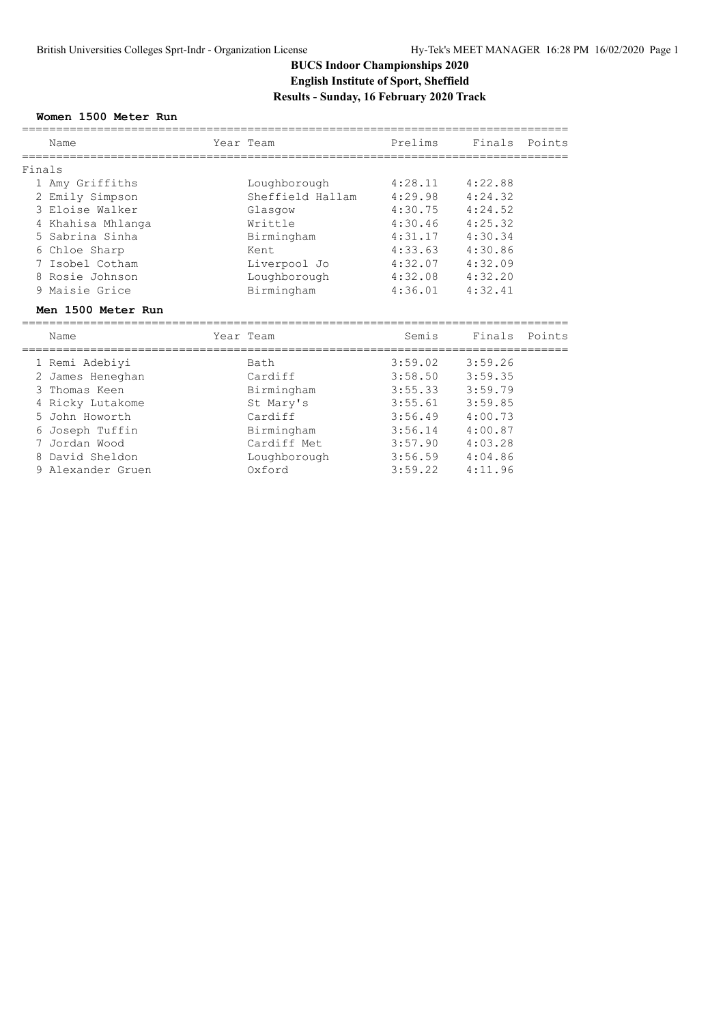# **BUCS Indoor Championships 2020 English Institute of Sport, Sheffield Results - Sunday, 16 February 2020 Track**

### **Women 1500 Meter Run**

|        | Name                            |  | Year Team                 | Prelims             | Finals Points |        |  |  |
|--------|---------------------------------|--|---------------------------|---------------------|---------------|--------|--|--|
|        |                                 |  |                           |                     |               |        |  |  |
| Finals |                                 |  |                           |                     |               |        |  |  |
|        | 1 Amy Griffiths                 |  | Loughborough              | 4:28.11             | 4:22.88       |        |  |  |
|        | 2 Emily Simpson                 |  | Sheffield Hallam          | 4:29.98             | 4:24.32       |        |  |  |
|        | 3 Eloise Walker                 |  | Glasgow                   | 4:30.75             | 4:24.52       |        |  |  |
|        | 4 Khahisa Mhlanga               |  | Writtle                   | 4:30.46             | 4:25.32       |        |  |  |
|        | 5 Sabrina Sinha                 |  | Birmingham                | 4:31.17             | 4:30.34       |        |  |  |
|        | 6 Chloe Sharp                   |  | Kent                      | 4:33.63             | 4:30.86       |        |  |  |
|        | 7 Isobel Cotham                 |  | Liverpool Jo              | 4:32.07 4:32.09     |               |        |  |  |
|        | 8 Rosie Johnson                 |  | Loughborough              | 4:32.08             | 4:32.20       |        |  |  |
|        | 9 Maisie Grice                  |  | Birmingham                | 4:36.01             | 4:32.41       |        |  |  |
|        |                                 |  |                           |                     |               |        |  |  |
|        | Men 1500 Meter Run              |  |                           |                     |               |        |  |  |
|        | Name                            |  | Year Team                 | Semis               | Finals        | Points |  |  |
|        | 1 Remi Adebiyi                  |  | Bath                      | 3:59.02             | 3:59.26       |        |  |  |
|        |                                 |  | Cardiff                   | 3:58.50             | 3:59.35       |        |  |  |
| 3      | 2 James Heneghan<br>Thomas Keen |  |                           | 3:55.33             | 3:59.79       |        |  |  |
|        | 4 Ricky Lutakome                |  | Birmingham<br>St Mary's   | 3:55.61             | 3:59.85       |        |  |  |
| 5.     | John Howorth                    |  | Cardiff                   | 3:56.49             | 4:00.73       |        |  |  |
| 6      | Joseph Tuffin                   |  |                           | $3:56.14$ $4:00.87$ |               |        |  |  |
| 7      | Jordan Wood                     |  | Birmingham<br>Cardiff Met | 3:57.90             | 4:03.28       |        |  |  |
| 8      | David Sheldon                   |  | Loughborough              | 3:56.59             | 4:04.86       |        |  |  |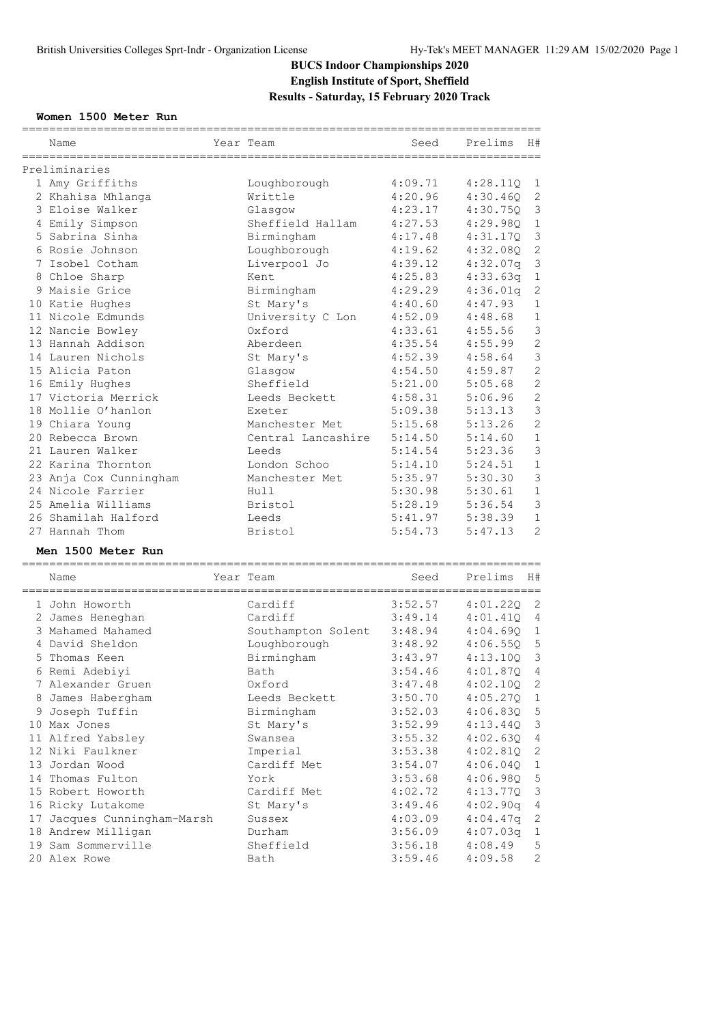# **BUCS Indoor Championships 2020 English Institute of Sport, Sheffield Results - Saturday, 15 February 2020 Track**

### **Women 1500 Meter Run**

| Name                          | Year Team          | Seed    | Prelims  | H#             |
|-------------------------------|--------------------|---------|----------|----------------|
| Preliminaries                 |                    |         |          |                |
| 1 Amy Griffiths               | Loughborough       | 4:09.71 | 4:28.11Q | 1              |
| 2 Khahisa Mhlanga             | Writtle            | 4:20.96 | 4:30.46Q | $\mathbf{2}$   |
| 3 Eloise Walker               | Glasgow            | 4:23.17 | 4:30.75Q | 3              |
| 4 Emily Simpson               | Sheffield Hallam   | 4:27.53 | 4:29.980 | $\mathbf 1$    |
| 5 Sabrina Sinha               | Birmingham         | 4:17.48 | 4:31.170 | $\mathsf 3$    |
| 6 Rosie Johnson               | Loughborough       | 4:19.62 | 4:32.08Q | $\mathbf{2}$   |
| 7 Isobel Cotham               | Liverpool Jo       | 4:39.12 | 4:32.07q | $\mathfrak{Z}$ |
| 8 Chloe Sharp                 | Kent               | 4:25.83 | 4:33.63q | $\mathbf 1$    |
| 9 Maisie Grice                | Birmingham         | 4:29.29 | 4:36.01q | $\mathbf{2}$   |
| 10 Katie Hughes               | St Mary's          | 4:40.60 | 4:47.93  | $\mathbf 1$    |
| 11 Nicole Edmunds             | University C Lon   | 4:52.09 | 4:48.68  | $\mathbf 1$    |
| 12 Nancie Bowley              | Oxford             | 4:33.61 | 4:55.56  | 3              |
| 13 Hannah Addison             | Aberdeen           | 4:35.54 | 4:55.99  | $\mathbf{2}$   |
| 14 Lauren Nichols             | St Mary's          | 4:52.39 | 4:58.64  | $\mathsf 3$    |
| 15 Alicia Paton               | Glasgow            | 4:54.50 | 4:59.87  | $\mathbf{2}$   |
| 16 Emily Hughes               | Sheffield          | 5:21.00 | 5:05.68  | $\overline{2}$ |
| 17 Victoria Merrick           | Leeds Beckett      | 4:58.31 | 5:06.96  | $\mathbf{2}$   |
| 18 Mollie O'hanlon            | Exeter             | 5:09.38 | 5:13.13  | 3              |
| 19 Chiara Young               | Manchester Met     | 5:15.68 | 5:13.26  | $\mathbf{2}$   |
| 20 Rebecca Brown              | Central Lancashire | 5:14.50 | 5:14.60  | $\mathbf 1$    |
| 21 Lauren Walker              | Leeds              | 5:14.54 | 5:23.36  | 3              |
| 22 Karina Thornton            | London Schoo       | 5:14.10 | 5:24.51  | $\mathbf{1}$   |
| 23 Anja Cox Cunningham        | Manchester Met     | 5:35.97 | 5:30.30  | $\mathfrak{Z}$ |
| 24 Nicole Farrier             | Hull               | 5:30.98 | 5:30.61  | $\mathbf 1$    |
| 25 Amelia Williams            | Bristol            | 5:28.19 | 5:36.54  | 3              |
| 26 Shamilah Halford           | Leeds              | 5:41.97 | 5:38.39  | $\mathbf 1$    |
| 27 Hannah Thom                | Bristol            | 5:54.73 | 5:47.13  | $\overline{c}$ |
| Men 1500 Meter Run            |                    |         |          |                |
| =====================<br>Name | Year Team          | Seed    | Prelims  | H#             |
|                               |                    |         |          |                |
| 1 John Howorth                | Cardiff            | 3:52.57 | 4:01.22Q | 2              |
| 2 James Heneghan              | Cardiff            | 3:49.14 | 4:01.41Q | $\overline{4}$ |
| 3 Mahamed Mahamed             | Southampton Solent | 3:48.94 | 4:04.690 | $\mathbf{1}$   |
| 4 David Sheldon               | Loughborough       | 3:48.92 | 4:06.55Q | 5              |
| 5 Thomas Keen                 | Birmingham         | 3:43.97 | 4:13.10Q | 3              |
| 6 Remi Adebiyi                | Bath               | 3:54.46 | 4:01.87Q | 4              |
| 7 Alexander Gruen             | Oxford             | 3:47.48 | 4:02.10Q | 2              |
| 8 James Habergham             | Leeds Beckett      | 3:50.70 | 4:05.27Q | 1              |
| 9 Joseph Tuffin               | Birmingham         | 3:52.03 | 4:06.83Q | $\mathsf S$    |
| 10 Max Jones                  | St Mary's          | 3:52.99 | 4:13.44Q | $\mathsf 3$    |
| 11 Alfred Yabsley             | Swansea            | 3:55.32 | 4:02.63Q | $\overline{4}$ |
| 12 Niki Faulkner              | Imperial           | 3:53.38 | 4:02.81Q | 2              |
| 13 Jordan Wood                | Cardiff Met        | 3:54.07 | 4:06.04Q | $\mathbf{1}$   |
| 14 Thomas Fulton              | York               | 3:53.68 | 4:06.98Q | $\mathsf S$    |
| 15 Robert Howorth             | Cardiff Met        | 4:02.72 | 4:13.77Q | $\mathsf 3$    |
| 16 Ricky Lutakome             | St Mary's          | 3:49.46 | 4:02.90q | $\overline{4}$ |
| 17 Jacques Cunningham-Marsh   | Sussex             | 4:03.09 | 4:04.47q | $\overline{c}$ |
| 18 Andrew Milligan            | Durham             | 3:56.09 | 4:07.03q | $\mathbf{1}$   |
| 19 Sam Sommerville            | Sheffield          | 3:56.18 | 4:08.49  | 5              |
| 20 Alex Rowe                  | Bath               | 3:59.46 | 4:09.58  | 2              |

============================================================================